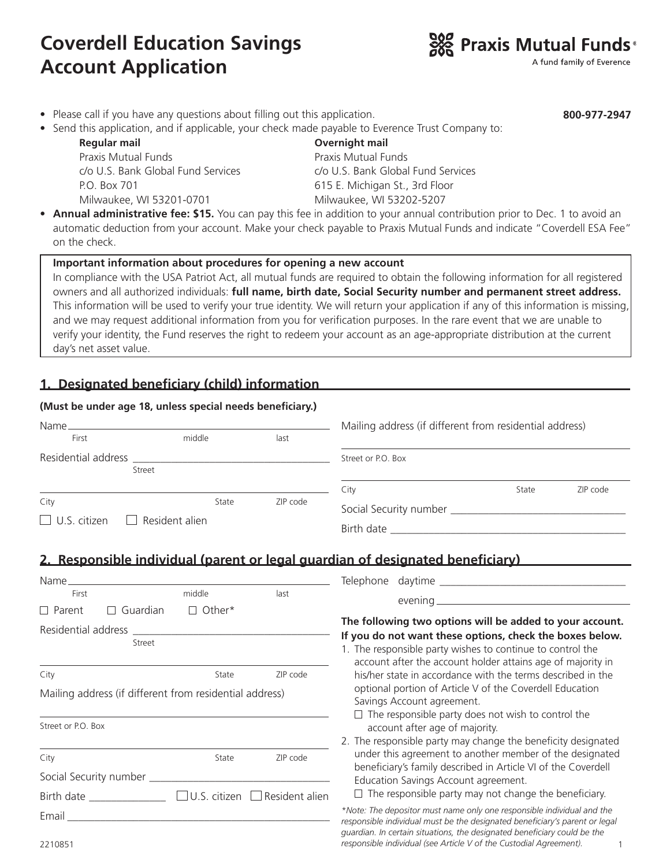# **Coverdell Education Savings Account Application**



A fund family of Everence

**800-977-2947**

- Please call if you have any questions about filling out this application.
- Send this application, and if applicable, your check made payable to Everence Trust Company to:

 **Regular mail Overnight mail** Praxis Mutual Funds Praxis Mutual Funds P.O. Box 701 615 E. Michigan St., 3rd Floor Milwaukee, WI 53201-0701 Milwaukee, WI 53202-5207

c/o U.S. Bank Global Fund Services c/o U.S. Bank Global Fund Services

• **Annual administrative fee: \$15.** You can pay this fee in addition to your annual contribution prior to Dec. 1 to avoid an automatic deduction from your account. Make your check payable to Praxis Mutual Funds and indicate "Coverdell ESA Fee" on the check.

#### **Important information about procedures for opening a new account**

In compliance with the USA Patriot Act, all mutual funds are required to obtain the following information for all registered owners and all authorized individuals: **full name, birth date, Social Security number and permanent street address.** This information will be used to verify your true identity. We will return your application if any of this information is missing, and we may request additional information from you for verification purposes. In the rare event that we are unable to verify your identity, the Fund reserves the right to redeem your account as an age-appropriate distribution at the current day's net asset value.

# **1. Designated beneficiary (child) information**

#### **(Must be under age 18, unless special needs beneficiary.)**

| Name                                         |        |       |          | Mailing address (if different from residential address) |       |          |
|----------------------------------------------|--------|-------|----------|---------------------------------------------------------|-------|----------|
| First                                        | middle |       | last     |                                                         |       |          |
| Residential address _________________        | Street |       |          | Street or P.O. Box                                      |       |          |
|                                              |        |       |          |                                                         |       |          |
|                                              |        |       |          | City                                                    | State | ZIP code |
| City                                         |        | State | ZIP code |                                                         |       |          |
| $\Box$ U.S. citizen<br>$\Box$ Resident alien |        |       |          |                                                         |       |          |
|                                              |        |       |          | Birth date                                              |       |          |

## **2. Responsible individual (parent or legal guardian of designated beneficiary)**

| Name                                                                                                                                                                                                                           |                         |                   | Telephone daytime                                                                                                                                                                          |  |  |
|--------------------------------------------------------------------------------------------------------------------------------------------------------------------------------------------------------------------------------|-------------------------|-------------------|--------------------------------------------------------------------------------------------------------------------------------------------------------------------------------------------|--|--|
| First                                                                                                                                                                                                                          | middle                  | last              |                                                                                                                                                                                            |  |  |
| $\Box$ Parent<br>П                                                                                                                                                                                                             | Guardian<br>Other*<br>П |                   |                                                                                                                                                                                            |  |  |
| Residential address                                                                                                                                                                                                            |                         |                   | The following two options will be added to your account.                                                                                                                                   |  |  |
|                                                                                                                                                                                                                                | Street                  |                   | If you do not want these options, check the boxes below.<br>1. The responsible party wishes to continue to control the<br>account after the account holder attains age of majority in      |  |  |
| City                                                                                                                                                                                                                           |                         | ZIP code<br>State | his/her state in accordance with the terms described in the                                                                                                                                |  |  |
| Mailing address (if different from residential address)                                                                                                                                                                        |                         |                   | optional portion of Article V of the Coverdell Education<br>Savings Account agreement.                                                                                                     |  |  |
| Street or P.O. Box                                                                                                                                                                                                             |                         |                   | $\Box$ The responsible party does not wish to control the<br>account after age of majority.                                                                                                |  |  |
| City                                                                                                                                                                                                                           |                         | ZIP code<br>State | 2. The responsible party may change the beneficity designated<br>under this agreement to another member of the designated<br>beneficiary's family described in Article VI of the Coverdell |  |  |
|                                                                                                                                                                                                                                |                         |                   | Education Savings Account agreement.                                                                                                                                                       |  |  |
| Birth date and the state of the state of the state of the state of the state of the state of the state of the state of the state of the state of the state of the state of the state of the state of the state of the state of | U.S. citizen            | Resident alien    | $\Box$ The responsible party may not change the beneficiary.                                                                                                                               |  |  |
| Email                                                                                                                                                                                                                          |                         |                   | *Note: The depositor must name only one responsible individual and the<br>responsible individual must be the designated beneficiary's parent or legal                                      |  |  |
| 2210851                                                                                                                                                                                                                        |                         |                   | quardian. In certain situations, the designated beneficiary could be the<br>responsible individual (see Article V of the Custodial Agreement).                                             |  |  |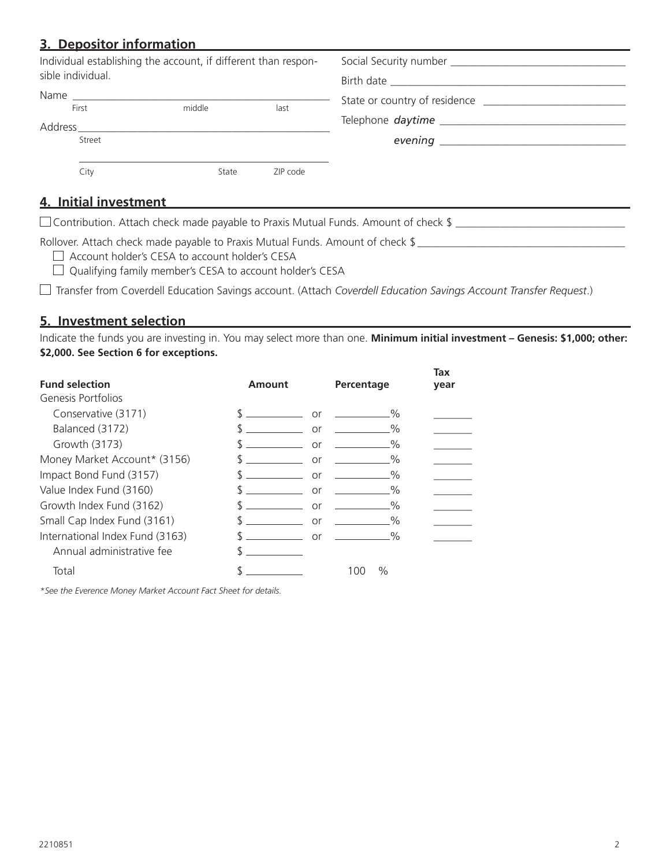# **3. Depositor information**

| Individual establishing the account, if different than respon-<br>sible individual. |       |          |                          |  |
|-------------------------------------------------------------------------------------|-------|----------|--------------------------|--|
|                                                                                     |       |          |                          |  |
|                                                                                     |       |          | Telephone <i>daytime</i> |  |
| Street                                                                              |       |          |                          |  |
|                                                                                     |       |          |                          |  |
| City                                                                                | State | ZIP code |                          |  |

## **4. Initial investment**

 $\Box$  Contribution. Attach check made payable to Praxis Mutual Funds. Amount of check  $\$\_\_$ 

Rollover. Attach check made payable to Praxis Mutual Funds. Amount of check \$

□ Account holder's CESA to account holder's CESA

Qualifying family member's CESA to account holder's CESA

Transfer from Coverdell Education Savings account. (Attach *Coverdell Education Savings Account Transfer Request*.)

#### **5. Investment selection**

Indicate the funds you are investing in. You may select more than one. **Minimum initial investment – Genesis: \$1,000; other: \$2,000. See Section 6 for exceptions.** 

|                                 |        |                                                 | Tax  |
|---------------------------------|--------|-------------------------------------------------|------|
| <b>Fund selection</b>           | Amount | Percentage                                      | year |
| Genesis Portfolios              |        |                                                 |      |
| Conservative (3171)             |        | $\%$<br>$or \fbox{---}$                         |      |
| Balanced (3172)                 |        | $\%$<br>or                                      |      |
| Growth (3173)                   | Տ      | $\%$<br>or                                      |      |
| Money Market Account* (3156)    |        | $\%$<br>or                                      |      |
| Impact Bond Fund (3157)         |        | $\%$<br>or                                      |      |
| Value Index Fund (3160)         |        | $\%$<br>or                                      |      |
| Growth Index Fund (3162)        |        | $\sim$ $\sim$ $\sim$ $\sim$ $\sim$ $\sim$<br>or |      |
| Small Cap Index Fund (3161)     |        | $\%$<br>or                                      |      |
| International Index Fund (3163) |        | $\sim$ 0%<br>or                                 |      |
| Annual administrative fee       |        |                                                 |      |
| Total                           |        | $\%$<br>100                                     |      |

*\*See the Everence Money Market Account Fact Sheet for details.*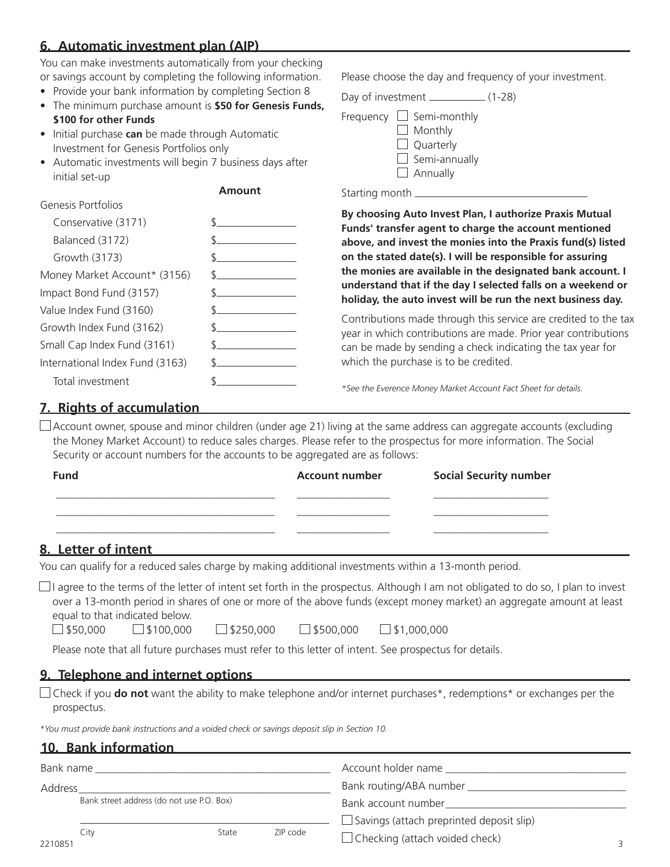# **6. Automatic investment plan (AIP)**

You can make investments automatically from your checking or savings account by completing the following information.

- Provide your bank information by completing Section 8
- The minimum purchase amount is **\$50 for Genesis Funds, \$100 for other Funds**
- Initial purchase **can** be made through Automatic Investment for Genesis Portfolios only
- Automatic investments will begin 7 business days after initial set-up

#### **Amount**

| Genesis Portfolios              |               |
|---------------------------------|---------------|
| Conservative (3171)             |               |
| Balanced (3172)                 |               |
| Growth (3173)                   |               |
| Money Market Account* (3156)    | $\mathcal{S}$ |
| Impact Bond Fund (3157)         |               |
| Value Index Fund (3160)         |               |
| Growth Index Fund (3162)        |               |
| Small Cap Index Fund (3161)     |               |
| International Index Fund (3163) |               |
| Total investment                |               |

Please choose the day and frequency of your investment.

Day of investment \_\_\_\_\_\_\_\_\_\_\_\_\_ (1-28)

| Frequency $\Box$ Semi-monthly |
|-------------------------------|
| $\Box$ Monthly                |
| $\Box$ Quarterly              |
| $\Box$ Semi-annually          |
| $\Box$ Annually               |
|                               |

Starting month \_\_\_\_\_\_\_\_\_\_\_

**By choosing Auto Invest Plan, I authorize Praxis Mutual Funds' transfer agent to charge the account mentioned above, and invest the monies into the Praxis fund(s) listed on the stated date(s). I will be responsible for assuring the monies are available in the designated bank account. I understand that if the day I selected falls on a weekend or holiday, the auto invest will be run the next business day.**

Contributions made through this service are credited to the tax year in which contributions are made. Prior year contributions can be made by sending a check indicating the tax year for which the purchase is to be credited.

*\*See the Everence Money Market Account Fact Sheet for details.*

## **7. Rights of accumulation**

 $\Box$  Account owner, spouse and minor children (under age 21) living at the same address can aggregate accounts (excluding the Money Market Account) to reduce sales charges. Please refer to the prospectus for more information. The Social Security or account numbers for the accounts to be aggregated are as follows:

| <b>Fund</b>                        | <b>Account number</b> | <b>Social Security number</b> |
|------------------------------------|-----------------------|-------------------------------|
|                                    |                       |                               |
|                                    |                       |                               |
| the property of the control of the |                       |                               |

#### **8. Letter of intent**

You can qualify for a reduced sales charge by making additional investments within a 13-month period.

 $\Box$  I agree to the terms of the letter of intent set forth in the prospectus. Although I am not obligated to do so, I plan to invest over a 13-month period in shares of one or more of the above funds (except money market) an aggregate amount at least equal to that indicated below.

 $\Box$ \$50,000  $\Box$ \$100,000  $\Box$ \$250,000  $\Box$ \$500,000  $\Box$ \$1,000,000

Please note that all future purchases must refer to this letter of intent. See prospectus for details.

## **9. Telephone and internet options**

Check if you **do not** want the ability to make telephone and/or internet purchases\*, redemptions\* or exchanges per the prospectus.

*\*You must provide bank instructions and a voided check or savings deposit slip in Section 10.*

## **10. Bank information**

| Bank name<br>Address                      |      |       |          | Account holder name<br>Bank routing/ABA number _______________ |  |
|-------------------------------------------|------|-------|----------|----------------------------------------------------------------|--|
|                                           |      |       |          |                                                                |  |
| Bank street address (do not use P.O. Box) |      |       |          | Bank account number                                            |  |
|                                           |      |       |          | $\Box$ Savings (attach preprinted deposit slip)                |  |
| 2210851                                   | City | State | ZIP code | $\Box$ Checking (attach voided check)                          |  |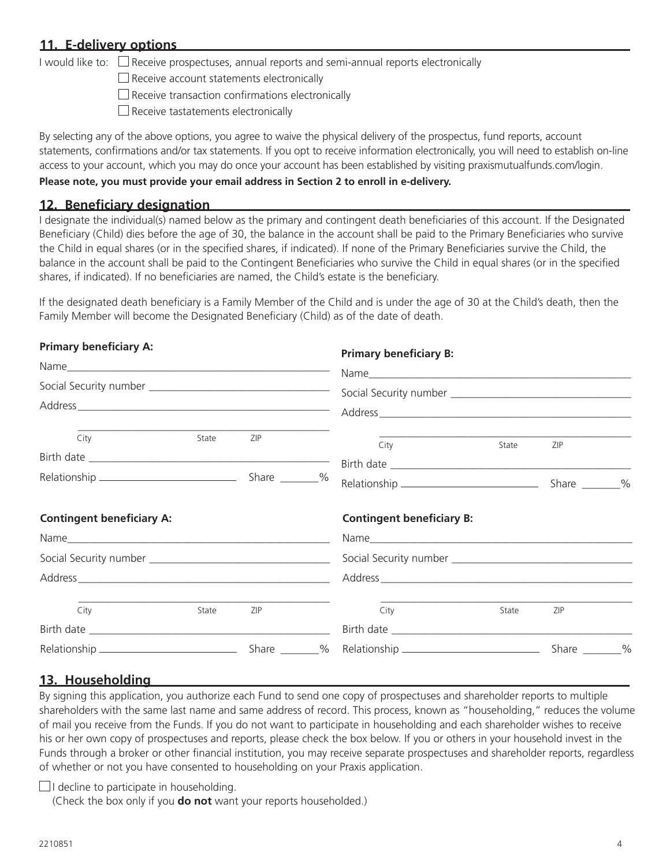## **11. E-delivery options**

I would like to:  $\Box$  Receive prospectuses, annual reports and semi-annual reports electronically

 $\Box$  Receive account statements electronically

 $\square$  Receive transaction confirmations electronically

 $\square$  Receive tastatements electronically

By selecting any of the above options, you agree to waive the physical delivery of the prospectus, fund reports, account statements, confirmations and/or tax statements. If you opt to receive information electronically, you will need to establish on-line access to your account, which you may do once your account has been established by visiting praxismutualfunds.com/login.

#### **Please note, you must provide your email address in Section 2 to enroll in e-delivery.**

#### **12. Beneficiary designation**

I designate the individual(s) named below as the primary and contingent death beneficiaries of this account. If the Designated Beneficiary (Child) dies before the age of 30, the balance in the account shall be paid to the Primary Beneficiaries who survive the Child in equal shares (or in the specified shares, if indicated). If none of the Primary Beneficiaries survive the Child, the balance in the account shall be paid to the Contingent Beneficiaries who survive the Child in equal shares (or in the specified shares, if indicated). If no beneficiaries are named, the Child's estate is the beneficiary.

If the designated death beneficiary is a Family Member of the Child and is under the age of 30 at the Child's death, then the Family Member will become the Designated Beneficiary (Child) as of the date of death.

| <b>Primary beneficiary A:</b>    |       |     |  | <b>Primary beneficiary B:</b>    |       |     |  |
|----------------------------------|-------|-----|--|----------------------------------|-------|-----|--|
|                                  |       |     |  |                                  |       |     |  |
|                                  |       |     |  |                                  |       |     |  |
| City                             | State | ZIP |  | City                             | State | ZIP |  |
|                                  |       |     |  |                                  |       |     |  |
|                                  |       |     |  |                                  |       |     |  |
| <b>Contingent beneficiary A:</b> |       |     |  | <b>Contingent beneficiary B:</b> |       |     |  |
|                                  |       |     |  |                                  |       |     |  |
|                                  |       |     |  |                                  |       |     |  |
|                                  |       |     |  |                                  |       |     |  |
| City                             | State | ZIP |  | City                             | State | ZIP |  |
|                                  |       |     |  |                                  |       |     |  |
|                                  |       |     |  |                                  |       |     |  |

## **13. Householding**

By signing this application, you authorize each Fund to send one copy of prospectuses and shareholder reports to multiple shareholders with the same last name and same address of record. This process, known as "householding," reduces the volume of mail you receive from the Funds. If you do not want to participate in householding and each shareholder wishes to receive his or her own copy of prospectuses and reports, please check the box below. If you or others in your household invest in the Funds through a broker or other financial institution, you may receive separate prospectuses and shareholder reports, regardless of whether or not you have consented to householding on your Praxis application.

 $\Box$ I decline to participate in householding.

(Check the box only if you **do not** want your reports householded.)